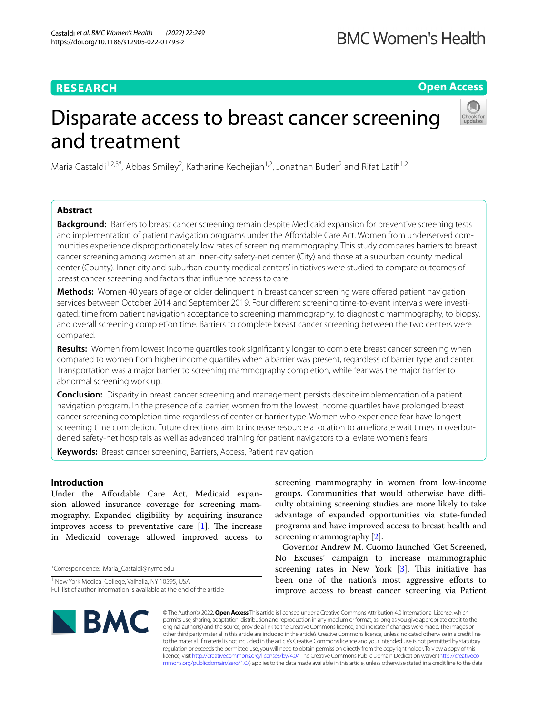# **RESEARCH**

**Open Access**

# Disparate access to breast cancer screening and treatment



Maria Castaldi<sup>1,2,3\*</sup>, Abbas Smiley<sup>2</sup>, Katharine Kechejian<sup>1,2</sup>, Jonathan Butler<sup>2</sup> and Rifat Latifi<sup>1,2</sup>

# **Abstract**

**Background:** Barriers to breast cancer screening remain despite Medicaid expansion for preventive screening tests and implementation of patient navigation programs under the Afordable Care Act. Women from underserved communities experience disproportionately low rates of screening mammography. This study compares barriers to breast cancer screening among women at an inner-city safety-net center (City) and those at a suburban county medical center (County). Inner city and suburban county medical centers' initiatives were studied to compare outcomes of breast cancer screening and factors that infuence access to care.

**Methods:** Women 40 years of age or older delinquent in breast cancer screening were ofered patient navigation services between October 2014 and September 2019. Four diferent screening time-to-event intervals were investigated: time from patient navigation acceptance to screening mammography, to diagnostic mammography, to biopsy, and overall screening completion time. Barriers to complete breast cancer screening between the two centers were compared.

**Results:** Women from lowest income quartiles took signifcantly longer to complete breast cancer screening when compared to women from higher income quartiles when a barrier was present, regardless of barrier type and center. Transportation was a major barrier to screening mammography completion, while fear was the major barrier to abnormal screening work up.

**Conclusion:** Disparity in breast cancer screening and management persists despite implementation of a patient navigation program. In the presence of a barrier, women from the lowest income quartiles have prolonged breast cancer screening completion time regardless of center or barrier type. Women who experience fear have longest screening time completion. Future directions aim to increase resource allocation to ameliorate wait times in overburdened safety-net hospitals as well as advanced training for patient navigators to alleviate women's fears.

**Keywords:** Breast cancer screening, Barriers, Access, Patient navigation

# **Introduction**

Under the Afordable Care Act, Medicaid expansion allowed insurance coverage for screening mammography. Expanded eligibility by acquiring insurance improves access to preventative care  $[1]$  $[1]$ . The increase in Medicaid coverage allowed improved access to

\*Correspondence: Maria\_Castaldi@nymc.edu

<sup>1</sup> New York Medical College, Valhalla, NY 10595, USA Full list of author information is available at the end of the article

screening mammography in women from low-income groups. Communities that would otherwise have difficulty obtaining screening studies are more likely to take advantage of expanded opportunities via state-funded programs and have improved access to breast health and screening mammography [\[2](#page-8-1)].

Governor Andrew M. Cuomo launched 'Get Screened, No Excuses' campaign to increase mammographic screening rates in New York  $[3]$  $[3]$ . This initiative has been one of the nation's most aggressive efforts to improve access to breast cancer screening via Patient



© The Author(s) 2022. **Open Access** This article is licensed under a Creative Commons Attribution 4.0 International License, which permits use, sharing, adaptation, distribution and reproduction in any medium or format, as long as you give appropriate credit to the original author(s) and the source, provide a link to the Creative Commons licence, and indicate if changes were made. The images or other third party material in this article are included in the article's Creative Commons licence, unless indicated otherwise in a credit line to the material. If material is not included in the article's Creative Commons licence and your intended use is not permitted by statutory regulation or exceeds the permitted use, you will need to obtain permission directly from the copyright holder. To view a copy of this licence, visit [http://creativecommons.org/licenses/by/4.0/.](http://creativecommons.org/licenses/by/4.0/) The Creative Commons Public Domain Dedication waiver ([http://creativeco](http://creativecommons.org/publicdomain/zero/1.0/) [mmons.org/publicdomain/zero/1.0/](http://creativecommons.org/publicdomain/zero/1.0/)) applies to the data made available in this article, unless otherwise stated in a credit line to the data.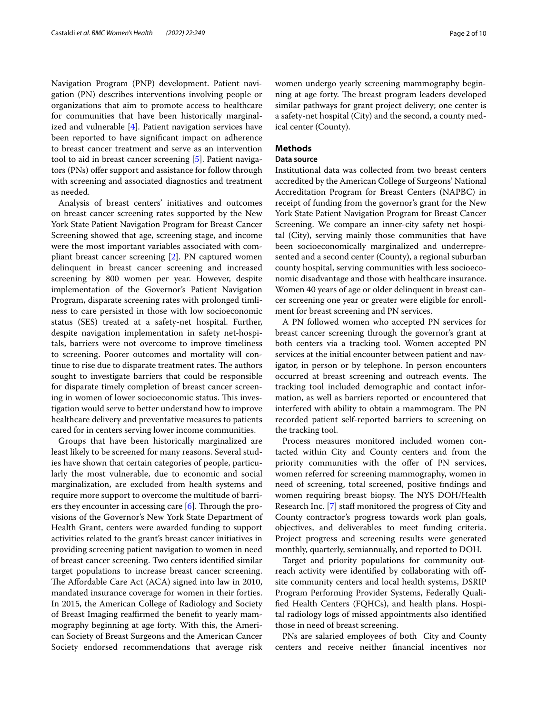Navigation Program (PNP) development. Patient navigation (PN) describes interventions involving people or organizations that aim to promote access to healthcare for communities that have been historically marginalized and vulnerable [[4\]](#page-8-3). Patient navigation services have been reported to have signifcant impact on adherence to breast cancer treatment and serve as an intervention tool to aid in breast cancer screening [[5\]](#page-8-4). Patient navigators (PNs) offer support and assistance for follow through with screening and associated diagnostics and treatment as needed.

Analysis of breast centers' initiatives and outcomes on breast cancer screening rates supported by the New York State Patient Navigation Program for Breast Cancer Screening showed that age, screening stage, and income were the most important variables associated with compliant breast cancer screening [[2\]](#page-8-1). PN captured women delinquent in breast cancer screening and increased screening by 800 women per year. However, despite implementation of the Governor's Patient Navigation Program, disparate screening rates with prolonged timliness to care persisted in those with low socioeconomic status (SES) treated at a safety-net hospital. Further, despite navigation implementation in safety net-hospitals, barriers were not overcome to improve timeliness to screening. Poorer outcomes and mortality will continue to rise due to disparate treatment rates. The authors sought to investigate barriers that could be responsible for disparate timely completion of breast cancer screening in women of lower socioeconomic status. This investigation would serve to better understand how to improve healthcare delivery and preventative measures to patients cared for in centers serving lower income communities.

Groups that have been historically marginalized are least likely to be screened for many reasons. Several studies have shown that certain categories of people, particularly the most vulnerable, due to economic and social marginalization, are excluded from health systems and require more support to overcome the multitude of barriers they encounter in accessing care  $[6]$  $[6]$ . Through the provisions of the Governor's New York State Department of Health Grant, centers were awarded funding to support activities related to the grant's breast cancer initiatives in providing screening patient navigation to women in need of breast cancer screening. Two centers identifed similar target populations to increase breast cancer screening. The Affordable Care Act (ACA) signed into law in 2010, mandated insurance coverage for women in their forties. In 2015, the American College of Radiology and Society of Breast Imaging reaffirmed the benefit to yearly mammography beginning at age forty. With this, the American Society of Breast Surgeons and the American Cancer Society endorsed recommendations that average risk women undergo yearly screening mammography beginning at age forty. The breast program leaders developed similar pathways for grant project delivery; one center is a safety-net hospital (City) and the second, a county medical center (County).

## **Methods**

#### **Data source**

Institutional data was collected from two breast centers accredited by the American College of Surgeons' National Accreditation Program for Breast Centers (NAPBC) in receipt of funding from the governor's grant for the New York State Patient Navigation Program for Breast Cancer Screening. We compare an inner-city safety net hospital (City), serving mainly those communities that have been socioeconomically marginalized and underrepresented and a second center (County), a regional suburban county hospital, serving communities with less socioeconomic disadvantage and those with healthcare insurance. Women 40 years of age or older delinquent in breast cancer screening one year or greater were eligible for enrollment for breast screening and PN services.

A PN followed women who accepted PN services for breast cancer screening through the governor's grant at both centers via a tracking tool. Women accepted PN services at the initial encounter between patient and navigator, in person or by telephone. In person encounters occurred at breast screening and outreach events. The tracking tool included demographic and contact information, as well as barriers reported or encountered that interfered with ability to obtain a mammogram. The PN recorded patient self-reported barriers to screening on the tracking tool.

Process measures monitored included women contacted within City and County centers and from the priority communities with the offer of PN services, women referred for screening mammography, women in need of screening, total screened, positive fndings and women requiring breast biopsy. The NYS DOH/Health Research Inc. [\[7](#page-8-6)] staf monitored the progress of City and County contractor's progress towards work plan goals, objectives, and deliverables to meet funding criteria. Project progress and screening results were generated monthly, quarterly, semiannually, and reported to DOH.

Target and priority populations for community outreach activity were identified by collaborating with offsite community centers and local health systems, DSRIP Program Performing Provider Systems, Federally Qualifed Health Centers (FQHCs), and health plans. Hospital radiology logs of missed appointments also identifed those in need of breast screening.

PNs are salaried employees of both City and County centers and receive neither fnancial incentives nor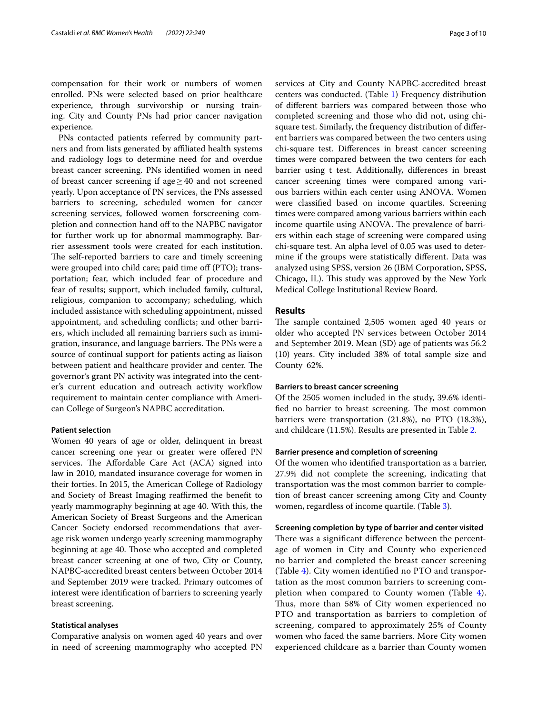compensation for their work or numbers of women enrolled. PNs were selected based on prior healthcare experience, through survivorship or nursing training. City and County PNs had prior cancer navigation experience.

PNs contacted patients referred by community partners and from lists generated by afliated health systems and radiology logs to determine need for and overdue breast cancer screening. PNs identifed women in need of breast cancer screening if age≥40 and not screened yearly. Upon acceptance of PN services, the PNs assessed barriers to screening, scheduled women for cancer screening services, followed women forscreening completion and connection hand off to the NAPBC navigator for further work up for abnormal mammography. Barrier assessment tools were created for each institution. The self-reported barriers to care and timely screening were grouped into child care; paid time off (PTO); transportation; fear, which included fear of procedure and fear of results; support, which included family, cultural, religious, companion to accompany; scheduling, which included assistance with scheduling appointment, missed appointment, and scheduling conficts; and other barriers, which included all remaining barriers such as immigration, insurance, and language barriers. The PNs were a source of continual support for patients acting as liaison between patient and healthcare provider and center. The governor's grant PN activity was integrated into the center's current education and outreach activity workflow requirement to maintain center compliance with American College of Surgeon's NAPBC accreditation.

#### **Patient selection**

Women 40 years of age or older, delinquent in breast cancer screening one year or greater were ofered PN services. The Affordable Care Act (ACA) signed into law in 2010, mandated insurance coverage for women in their forties. In 2015, the American College of Radiology and Society of Breast Imaging reaffirmed the benefit to yearly mammography beginning at age 40. With this, the American Society of Breast Surgeons and the American Cancer Society endorsed recommendations that average risk women undergo yearly screening mammography beginning at age 40. Those who accepted and completed breast cancer screening at one of two, City or County, NAPBC-accredited breast centers between October 2014 and September 2019 were tracked. Primary outcomes of interest were identifcation of barriers to screening yearly breast screening.

## **Statistical analyses**

Comparative analysis on women aged 40 years and over in need of screening mammography who accepted PN services at City and County NAPBC-accredited breast centers was conducted. (Table [1\)](#page-3-0) Frequency distribution of diferent barriers was compared between those who completed screening and those who did not, using chisquare test. Similarly, the frequency distribution of diferent barriers was compared between the two centers using chi-square test. Diferences in breast cancer screening times were compared between the two centers for each barrier using t test. Additionally, diferences in breast cancer screening times were compared among various barriers within each center using ANOVA. Women were classifed based on income quartiles. Screening times were compared among various barriers within each income quartile using ANOVA. The prevalence of barriers within each stage of screening were compared using chi-square test. An alpha level of 0.05 was used to determine if the groups were statistically diferent. Data was analyzed using SPSS, version 26 (IBM Corporation, SPSS, Chicago, IL). This study was approved by the New York Medical College Institutional Review Board.

## **Results**

The sample contained 2,505 women aged 40 years or older who accepted PN services between October 2014 and September 2019. Mean (SD) age of patients was 56.2 (10) years. City included 38% of total sample size and County 62%.

# **Barriers to breast cancer screening**

Of the 2505 women included in the study, 39.6% identified no barrier to breast screening. The most common barriers were transportation (21.8%), no PTO (18.3%), and childcare (11.5%). Results are presented in Table [2.](#page-3-1)

## **Barrier presence and completion of screening**

Of the women who identifed transportation as a barrier, 27.9% did not complete the screening, indicating that transportation was the most common barrier to completion of breast cancer screening among City and County women, regardless of income quartile. (Table [3\)](#page-3-2).

#### **Screening completion by type of barrier and center visited**

There was a significant difference between the percentage of women in City and County who experienced no barrier and completed the breast cancer screening (Table [4\)](#page-4-0). City women identifed no PTO and transportation as the most common barriers to screening completion when compared to County women (Table [4](#page-4-0)). Thus, more than 58% of City women experienced no PTO and transportation as barriers to completion of screening, compared to approximately 25% of County women who faced the same barriers. More City women experienced childcare as a barrier than County women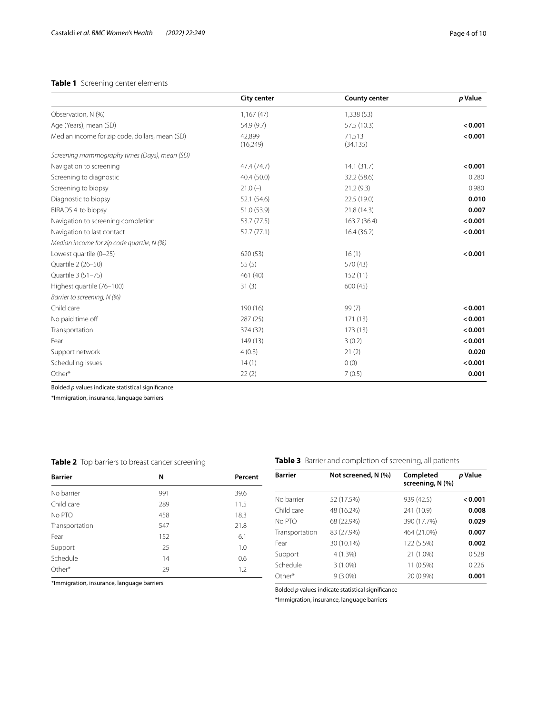# <span id="page-3-0"></span>**Table 1** Screening center elements

|                                                | <b>City center</b> | <b>County center</b> | p Value |
|------------------------------------------------|--------------------|----------------------|---------|
| Observation, N (%)                             | 1,167(47)          | 1,338 (53)           |         |
| Age (Years), mean (SD)                         | 54.9 (9.7)         | 57.5 (10.3)          | < 0.001 |
| Median income for zip code, dollars, mean (SD) | 42,899<br>(16,249) | 71,513<br>(34, 135)  | < 0.001 |
| Screening mammography times (Days), mean (SD)  |                    |                      |         |
| Navigation to screening                        | 47.4 (74.7)        | 14.1(31.7)           | < 0.001 |
| Screening to diagnostic                        | 40.4 (50.0)        | 32.2 (58.6)          | 0.280   |
| Screening to biopsy                            | $21.0(-)$          | 21.2(9.3)            | 0.980   |
| Diagnostic to biopsy                           | 52.1 (54.6)        | 22.5 (19.0)          | 0.010   |
| BIRADS 4 to biopsy                             | 51.0 (53.9)        | 21.8 (14.3)          | 0.007   |
| Navigation to screening completion             | 53.7 (77.5)        | 163.7 (36.4)         | < 0.001 |
| Navigation to last contact                     | 52.7 (77.1)        | 16.4(36.2)           | < 0.001 |
| Median income for zip code quartile, N (%)     |                    |                      |         |
| Lowest quartile (0-25)                         | 620 (53)           | 16(1)                | < 0.001 |
| Quartile 2 (26-50)                             | 55(5)              | 570 (43)             |         |
| Quartile 3 (51-75)                             | 461 (40)           | 152(11)              |         |
| Highest quartile (76-100)                      | 31(3)              | 600(45)              |         |
| Barrier to screening, N (%)                    |                    |                      |         |
| Child care                                     | 190 (16)           | 99(7)                | < 0.001 |
| No paid time off                               | 287(25)            | 171(13)              | < 0.001 |
| Transportation                                 | 374 (32)           | 173(13)              | < 0.001 |
| Fear                                           | 149(13)            | 3(0.2)               | < 0.001 |
| Support network                                | 4(0.3)             | 21(2)                | 0.020   |
| Scheduling issues                              | 14(1)              | 0(0)                 | < 0.001 |
| Other*                                         | 22(2)              | 7(0.5)               | 0.001   |

Bolded *p* values indicate statistical signifcance

\*Immigration, insurance, language barriers

# <span id="page-3-1"></span>**Table 2** Top barriers to breast cancer screening

| <b>Barrier</b> | N   | Percent |
|----------------|-----|---------|
| No barrier     | 991 | 39.6    |
| Child care     | 289 | 11.5    |
| No PTO         | 458 | 18.3    |
| Transportation | 547 | 21.8    |
| Fear           | 152 | 6.1     |
| Support        | 25  | 1.0     |
| Schedule       | 14  | 0.6     |
| Other*         | 29  | 1.2     |

\*Immigration, insurance, language barriers

<span id="page-3-2"></span>**Table 3** Barrier and completion of screening, all patients

| <b>Barrier</b> | Not screened, N (%) | Completed<br>screening, N (%) | p Value |
|----------------|---------------------|-------------------------------|---------|
| No barrier     | 52 (17.5%)          | 939 (42.5)                    | < 0.001 |
| Child care     | 48 (16.2%)          | 241 (10.9)                    | 0.008   |
| No PTO         | 68 (22.9%)          | 390 (17.7%)                   | 0.029   |
| Transportation | 83 (27.9%)          | 464 (21.0%)                   | 0.007   |
| Fear           | 30 (10.1%)          | 122 (5.5%)                    | 0.002   |
| Support        | 4(1.3%)             | 21 (1.0%)                     | 0.528   |
| Schedule       | $3(1.0\%)$          | 11 (0.5%)                     | 0.226   |
| Other*         | $9(3.0\%)$          | 20 (0.9%)                     | 0.001   |

Bolded *p* values indicate statistical signifcance

\*Immigration, insurance, language barriers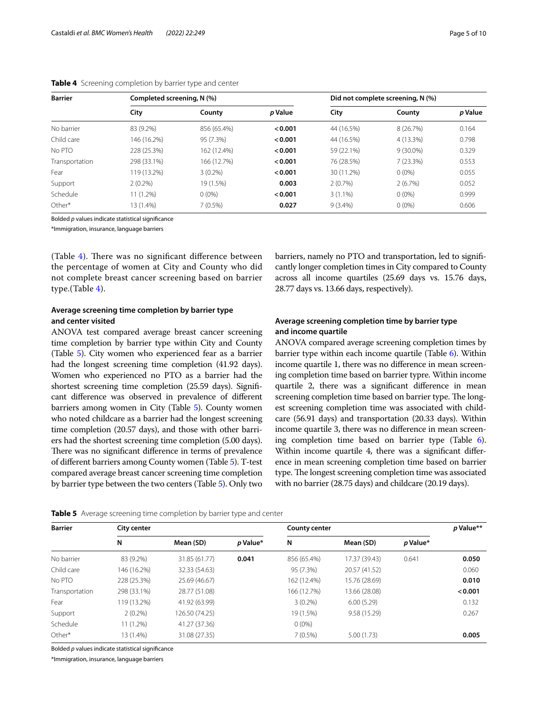| <b>Barrier</b> | Completed screening, N (%) |             | Did not complete screening, N (%) |            |             |         |
|----------------|----------------------------|-------------|-----------------------------------|------------|-------------|---------|
|                | City                       | County      | p Value                           | City       | County      | p Value |
| No barrier     | 83 (9.2%)                  | 856 (65.4%) | < 0.001                           | 44 (16.5%) | 8 (26.7%)   | 0.164   |
| Child care     | 146 (16.2%)                | 95 (7.3%)   | < 0.001                           | 44 (16.5%) | 4 (13.3%)   | 0.798   |
| No PTO         | 228 (25.3%)                | 162 (12.4%) | < 0.001                           | 59 (22.1%) | $9(30.0\%)$ | 0.329   |
| Transportation | 298 (33.1%)                | 166 (12.7%) | < 0.001                           | 76 (28.5%) | 7 (23.3%)   | 0.553   |
| Fear           | 119 (13.2%)                | $3(0.2\%)$  | < 0.001                           | 30 (11.2%) | $0(0\%)$    | 0.055   |
| Support        | $2(0.2\%)$                 | 19 (1.5%)   | 0.003                             | 2(0.7%)    | 2(6.7%)     | 0.052   |
| Schedule       | $11(1.2\%)$                | $0(0\%)$    | < 0.001                           | $3(1.1\%)$ | $0(0\%)$    | 0.999   |
| Other*         | 13 (1.4%)                  | $7(0.5\%)$  | 0.027                             | $9(3.4\%)$ | $0(0\%)$    | 0.606   |

<span id="page-4-0"></span>

|  |  | Table 4 Screening completion by barrier type and center |  |  |  |
|--|--|---------------------------------------------------------|--|--|--|
|--|--|---------------------------------------------------------|--|--|--|

Bolded *p* values indicate statistical signifcance

\*Immigration, insurance, language barriers

(Table  $4$ ). There was no significant difference between the percentage of women at City and County who did not complete breast cancer screening based on barrier type.(Table [4](#page-4-0)).

# **Average screening time completion by barrier type and center visited**

ANOVA test compared average breast cancer screening time completion by barrier type within City and County (Table [5\)](#page-4-1). City women who experienced fear as a barrier had the longest screening time completion (41.92 days). Women who experienced no PTO as a barrier had the shortest screening time completion (25.59 days). Signifcant diference was observed in prevalence of diferent barriers among women in City (Table [5](#page-4-1)). County women who noted childcare as a barrier had the longest screening time completion (20.57 days), and those with other barriers had the shortest screening time completion (5.00 days). There was no significant difference in terms of prevalence of diferent barriers among County women (Table [5](#page-4-1)). T-test compared average breast cancer screening time completion by barrier type between the two centers (Table [5](#page-4-1)). Only two

barriers, namely no PTO and transportation, led to signifcantly longer completion times in City compared to County across all income quartiles (25.69 days vs. 15.76 days, 28.77 days vs. 13.66 days, respectively).

# **Average screening completion time by barrier type and income quartile**

ANOVA compared average screening completion times by barrier type within each income quartile (Table [6](#page-5-0)). Within income quartile 1, there was no diference in mean screening completion time based on barrier typre. Within income quartile 2, there was a signifcant diference in mean screening completion time based on barrier type. The longest screening completion time was associated with childcare (56.91 days) and transportation (20.33 days). Within income quartile 3, there was no diference in mean screening completion time based on barrier type (Table [6](#page-5-0)). Within income quartile 4, there was a signifcant diference in mean screening completion time based on barrier type. The longest screening completion time was associated with no barrier (28.75 days) and childcare (20.19 days).

<span id="page-4-1"></span>

|  | Table 5 Average screening time completion by barrier type and center |  |  |  |
|--|----------------------------------------------------------------------|--|--|--|
|--|----------------------------------------------------------------------|--|--|--|

| <b>Barrier</b> | <b>City center</b> |                |          | <b>County center</b> | p Value**     |          |         |
|----------------|--------------------|----------------|----------|----------------------|---------------|----------|---------|
|                | N                  | Mean (SD)      | p Value* | N                    | Mean (SD)     | p Value* |         |
| No barrier     | 83 (9.2%)          | 31.85 (61.77)  | 0.041    | 856 (65.4%)          | 17.37 (39.43) | 0.641    | 0.050   |
| Child care     | 146 (16.2%)        | 32.33 (54.63)  |          | 95 (7.3%)            | 20.57 (41.52) |          | 0.060   |
| No PTO         | 228 (25.3%)        | 25.69 (46.67)  |          | 162 (12.4%)          | 15.76 (28.69) |          | 0.010   |
| Transportation | 298 (33.1%)        | 28.77 (51.08)  |          | 166 (12.7%)          | 13.66 (28.08) |          | < 0.001 |
| Fear           | 119 (13.2%)        | 41.92 (63.99)  |          | $3(0.2\%)$           | 6.00(5.29)    |          | 0.132   |
| Support        | $2(0.2\%)$         | 126.50 (74.25) |          | 19 (1.5%)            | 9.58 (15.29)  |          | 0.267   |
| Schedule       | 11 (1.2%)          | 41.27 (37.36)  |          | $0(0\%)$             |               |          |         |
| Other*         | 13 (1.4%)          | 31.08 (27.35)  |          | $7(0.5\%)$           | 5.00(1.73)    |          | 0.005   |

Bolded *p* values indicate statistical signifcance

\*Immigration, insurance, language barriers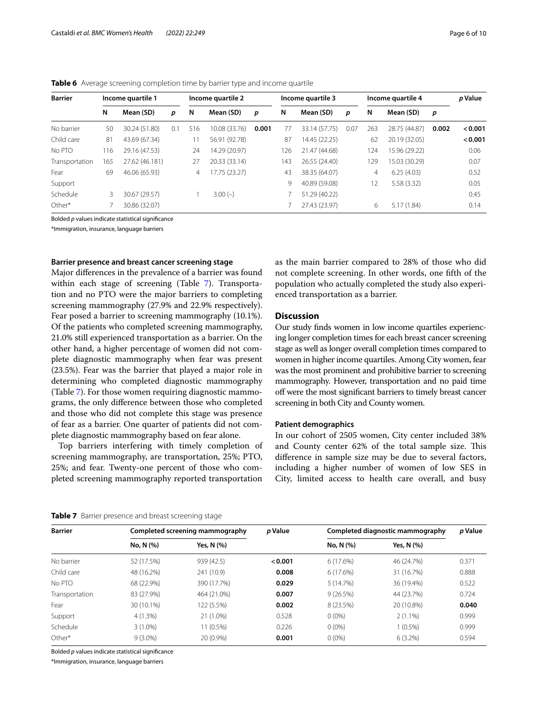| <b>Barrier</b> |           | Income quartile 1 |     |           | Income quartile 2 |       |           | Income quartile 3 |      | Income quartile 4 |               |       | p Value |
|----------------|-----------|-------------------|-----|-----------|-------------------|-------|-----------|-------------------|------|-------------------|---------------|-------|---------|
| N              | Mean (SD) | p                 | N   | Mean (SD) | p                 | N     | Mean (SD) | p                 | N    | Mean (SD)         | p             |       |         |
| No barrier     | 50        | 30.24 (51.80)     | 0.1 | 516       | 10.08 (33.76)     | 0.001 | 77        | 33.14 (57.75)     | 0.07 | 263               | 28.75 (44.87) | 0.002 | < 0.001 |
| Child care     | 81        | 43.69 (67.34)     |     |           | 56.91 (92.78)     |       | 87        | 14.45 (22.25)     |      | 62                | 20.19 (32.05) |       | < 0.001 |
| No PTO         | 116       | 29.16 (47.53)     |     | 24        | 14.29 (20.97)     |       | 126       | 21.47 (44.68)     |      | 124               | 15.96 (29.22) |       | 0.06    |
| Transportation | 165       | 27.62 (46.181)    |     | 27        | 20.33 (33.14)     |       | 143       | 26.55 (24.40)     |      | 129               | 15.03 (30.29) |       | 0.07    |
| Fear           | 69        | 46.06 (65.93)     |     | 4         | 7.75 (23.27)      |       | 43        | 38.35 (64.07)     |      | 4                 | 6.25(4.03)    |       | 0.52    |
| Support        |           |                   |     |           |                   |       | 9         | 40.89 (59.08)     |      | 12                | 5.58(3.32)    |       | 0.05    |
| Schedule       | 3         | 30.67 (29.57)     |     |           | $3.00(-)$         |       |           | 51.29 (40.22)     |      |                   |               |       | 0.45    |
| Other*         |           | 30.86 (32.07)     |     |           |                   |       |           | 27.43 (23.97)     |      | 6                 | 5.17(1.84)    |       | 0.14    |

<span id="page-5-0"></span>**Table 6** Average screening completion time by barrier type and income quartile

Bolded *p* values indicate statistical signifcance

\*Immigration, insurance, language barriers

#### **Barrier presence and breast cancer screening stage**

Major diferences in the prevalence of a barrier was found within each stage of screening (Table [7](#page-5-1)). Transportation and no PTO were the major barriers to completing screening mammography (27.9% and 22.9% respectively). Fear posed a barrier to screening mammography (10.1%). Of the patients who completed screening mammography, 21.0% still experienced transportation as a barrier. On the other hand, a higher percentage of women did not complete diagnostic mammography when fear was present (23.5%). Fear was the barrier that played a major role in determining who completed diagnostic mammography (Table [7](#page-5-1)). For those women requiring diagnostic mammograms, the only diference between those who completed and those who did not complete this stage was presence of fear as a barrier. One quarter of patients did not complete diagnostic mammography based on fear alone.

Top barriers interfering with timely completion of screening mammography, are transportation, 25%; PTO, 25%; and fear. Twenty-one percent of those who completed screening mammography reported transportation as the main barrier compared to 28% of those who did not complete screening. In other words, one ffth of the population who actually completed the study also experienced transportation as a barrier.

# **Discussion**

Our study fnds women in low income quartiles experiencing longer completion times for each breast cancer screening stage as well as longer overall completion times compared to women in higher income quartiles. Among City women, fear was the most prominent and prohibitive barrier to screening mammography. However, transportation and no paid time of were the most signifcant barriers to timely breast cancer screening in both City and County women.

### **Patient demographics**

In our cohort of 2505 women, City center included 38% and County center 62% of the total sample size. This diference in sample size may be due to several factors, including a higher number of women of low SES in City, limited access to health care overall, and busy

<span id="page-5-1"></span>

|  |  | Table 7 Barrier presence and breast screening stage |  |
|--|--|-----------------------------------------------------|--|
|  |  |                                                     |  |

| <b>Barrier</b> | Completed screening mammography |             | p Value | Completed diagnostic mammography | p Value    |       |
|----------------|---------------------------------|-------------|---------|----------------------------------|------------|-------|
|                | No, N (%)                       | Yes, N (%)  |         | No, N (%)                        | Yes, N (%) |       |
| No barrier     | 52 (17.5%)                      | 939 (42.5)  | < 0.001 | 6(17.6%)                         | 46 (24.7%) | 0.371 |
| Child care     | 48 (16.2%)                      | 241 (10.9)  | 0.008   | 6(17.6%)                         | 31 (16.7%) | 0.888 |
| No PTO         | 68 (22.9%)                      | 390 (17.7%) | 0.029   | 5 (14.7%)                        | 36 (19.4%) | 0.522 |
| Transportation | 83 (27.9%)                      | 464 (21.0%) | 0.007   | 9(26.5%)                         | 44 (23.7%) | 0.724 |
| Fear           | 30 (10.1%)                      | 122 (5.5%)  | 0.002   | 8 (23.5%)                        | 20 (10.8%) | 0.040 |
| Support        | 4(1.3%)                         | 21 (1.0%)   | 0.528   | $0(0\%)$                         | $2(1.1\%)$ | 0.999 |
| Schedule       | $3(1.0\%)$                      | 11 (0.5%)   | 0.226   | $0(0\%)$                         | $1(0.5\%)$ | 0.999 |
| Other*         | $9(3.0\%)$                      | 20 (0.9%)   | 0.001   | $0(0\%)$                         | $6(3.2\%)$ | 0.594 |

Bolded *p* values indicate statistical signifcance

\*Immigration, insurance, language barriers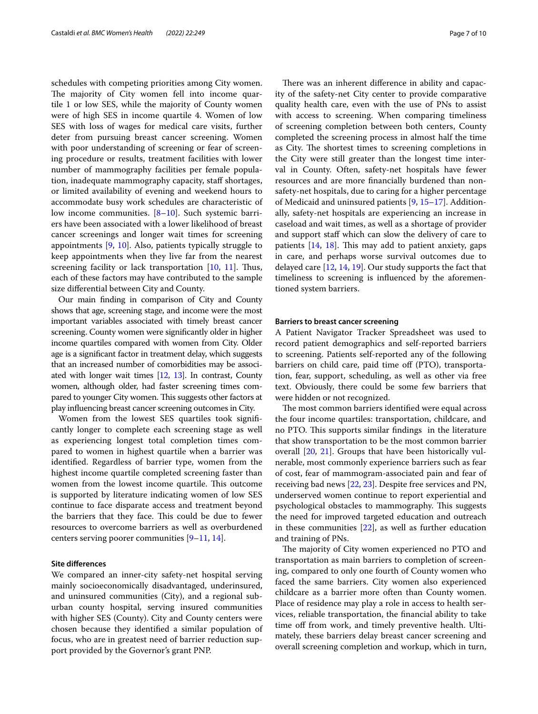schedules with competing priorities among City women. The majority of City women fell into income quartile 1 or low SES, while the majority of County women were of high SES in income quartile 4. Women of low SES with loss of wages for medical care visits, further deter from pursuing breast cancer screening. Women with poor understanding of screening or fear of screening procedure or results, treatment facilities with lower number of mammography facilities per female population, inadequate mammography capacity, staf shortages, or limited availability of evening and weekend hours to accommodate busy work schedules are characteristic of low income communities. [\[8](#page-8-7)[–10\]](#page-8-8). Such systemic barriers have been associated with a lower likelihood of breast cancer screenings and longer wait times for screening appointments [[9,](#page-8-9) [10](#page-8-8)]. Also, patients typically struggle to keep appointments when they live far from the nearest screening facility or lack transportation  $[10, 11]$  $[10, 11]$  $[10, 11]$  $[10, 11]$ . Thus, each of these factors may have contributed to the sample size diferential between City and County.

Our main fnding in comparison of City and County shows that age, screening stage, and income were the most important variables associated with timely breast cancer screening. County women were signifcantly older in higher income quartiles compared with women from City. Older age is a signifcant factor in treatment delay, which suggests that an increased number of comorbidities may be associated with longer wait times [[12](#page-8-11), [13\]](#page-8-12). In contrast, County women, although older, had faster screening times compared to younger City women. This suggests other factors at play infuencing breast cancer screening outcomes in City.

Women from the lowest SES quartiles took signifcantly longer to complete each screening stage as well as experiencing longest total completion times compared to women in highest quartile when a barrier was identifed. Regardless of barrier type, women from the highest income quartile completed screening faster than women from the lowest income quartile. This outcome is supported by literature indicating women of low SES continue to face disparate access and treatment beyond the barriers that they face. This could be due to fewer resources to overcome barriers as well as overburdened centers serving poorer communities [[9](#page-8-9)[–11](#page-8-10), [14\]](#page-8-13).

### **Site diferences**

We compared an inner-city safety-net hospital serving mainly socioeconomically disadvantaged, underinsured, and uninsured communities (City), and a regional suburban county hospital, serving insured communities with higher SES (County). City and County centers were chosen because they identifed a similar population of focus, who are in greatest need of barrier reduction support provided by the Governor's grant PNP.

There was an inherent difference in ability and capacity of the safety-net City center to provide comparative quality health care, even with the use of PNs to assist with access to screening. When comparing timeliness of screening completion between both centers, County completed the screening process in almost half the time as City. The shortest times to screening completions in the City were still greater than the longest time interval in County. Often, safety-net hospitals have fewer resources and are more fnancially burdened than nonsafety-net hospitals, due to caring for a higher percentage of Medicaid and uninsured patients [[9](#page-8-9), [15–](#page-8-14)[17\]](#page-8-15). Additionally, safety-net hospitals are experiencing an increase in caseload and wait times, as well as a shortage of provider and support staff which can slow the delivery of care to patients  $[14, 18]$  $[14, 18]$  $[14, 18]$  $[14, 18]$ . This may add to patient anxiety, gaps in care, and perhaps worse survival outcomes due to delayed care [[12,](#page-8-11) [14](#page-8-13), [19](#page-8-17)]. Our study supports the fact that timeliness to screening is infuenced by the aforementioned system barriers.

#### **Barriers to breast cancer screening**

A Patient Navigator Tracker Spreadsheet was used to record patient demographics and self-reported barriers to screening. Patients self-reported any of the following barriers on child care, paid time off (PTO), transportation, fear, support, scheduling, as well as other via free text. Obviously, there could be some few barriers that were hidden or not recognized.

The most common barriers identified were equal across the four income quartiles: transportation, childcare, and no PTO. This supports similar findings in the literature that show transportation to be the most common barrier overall [\[20,](#page-8-18) [21\]](#page-8-19). Groups that have been historically vulnerable, most commonly experience barriers such as fear of cost, fear of mammogram-associated pain and fear of receiving bad news [[22,](#page-8-20) [23\]](#page-8-21). Despite free services and PN, underserved women continue to report experiential and psychological obstacles to mammography. This suggests the need for improved targeted education and outreach in these communities [\[22\]](#page-8-20), as well as further education and training of PNs.

The majority of City women experienced no PTO and transportation as main barriers to completion of screening, compared to only one fourth of County women who faced the same barriers. City women also experienced childcare as a barrier more often than County women. Place of residence may play a role in access to health services, reliable transportation, the fnancial ability to take time off from work, and timely preventive health. Ultimately, these barriers delay breast cancer screening and overall screening completion and workup, which in turn,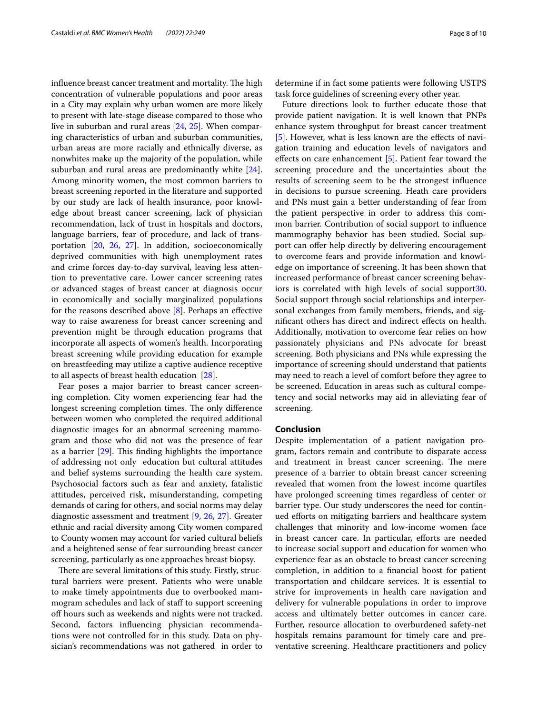influence breast cancer treatment and mortality. The high concentration of vulnerable populations and poor areas in a City may explain why urban women are more likely to present with late-stage disease compared to those who live in suburban and rural areas [[24](#page-8-22), [25](#page-8-23)]. When comparing characteristics of urban and suburban communities, urban areas are more racially and ethnically diverse, as nonwhites make up the majority of the population, while suburban and rural areas are predominantly white [\[24](#page-8-22)]. Among minority women, the most common barriers to breast screening reported in the literature and supported by our study are lack of health insurance, poor knowledge about breast cancer screening, lack of physician recommendation, lack of trust in hospitals and doctors, language barriers, fear of procedure, and lack of transportation [[20,](#page-8-18) [26](#page-8-24), [27](#page-8-25)]. In addition, socioeconomically deprived communities with high unemployment rates and crime forces day-to-day survival, leaving less attention to preventative care. Lower cancer screening rates or advanced stages of breast cancer at diagnosis occur in economically and socially marginalized populations for the reasons described above  $[8]$  $[8]$ . Perhaps an effective way to raise awareness for breast cancer screening and prevention might be through education programs that incorporate all aspects of women's health. Incorporating breast screening while providing education for example on breastfeeding may utilize a captive audience receptive to all aspects of breast health education [\[28](#page-9-0)].

Fear poses a major barrier to breast cancer screening completion. City women experiencing fear had the longest screening completion times. The only difference between women who completed the required additional diagnostic images for an abnormal screening mammogram and those who did not was the presence of fear as a barrier  $[29]$ . This finding highlights the importance of addressing not only education but cultural attitudes and belief systems surrounding the health care system. Psychosocial factors such as fear and anxiety, fatalistic attitudes, perceived risk, misunderstanding, competing demands of caring for others, and social norms may delay diagnostic assessment and treatment [[9](#page-8-9), [26,](#page-8-24) [27\]](#page-8-25). Greater ethnic and racial diversity among City women compared to County women may account for varied cultural beliefs and a heightened sense of fear surrounding breast cancer screening, particularly as one approaches breast biopsy.

There are several limitations of this study. Firstly, structural barriers were present. Patients who were unable to make timely appointments due to overbooked mammogram schedules and lack of staf to support screening off hours such as weekends and nights were not tracked. Second, factors infuencing physician recommendations were not controlled for in this study. Data on physician's recommendations was not gathered in order to determine if in fact some patients were following USTPS task force guidelines of screening every other year.

Future directions look to further educate those that provide patient navigation. It is well known that PNPs enhance system throughput for breast cancer treatment [[5\]](#page-8-4). However, what is less known are the effects of navigation training and education levels of navigators and efects on care enhancement [[5\]](#page-8-4). Patient fear toward the screening procedure and the uncertainties about the results of screening seem to be the strongest infuence in decisions to pursue screening. Heath care providers and PNs must gain a better understanding of fear from the patient perspective in order to address this common barrier. Contribution of social support to infuence mammography behavior has been studied. Social support can offer help directly by delivering encouragement to overcome fears and provide information and knowledge on importance of screening. It has been shown that increased performance of breast cancer screening behaviors is correlated with high levels of social support[30](#page-9-2). Social support through social relationships and interpersonal exchanges from family members, friends, and signifcant others has direct and indirect efects on health. Additionally, motivation to overcome fear relies on how passionately physicians and PNs advocate for breast screening. Both physicians and PNs while expressing the importance of screening should understand that patients may need to reach a level of comfort before they agree to be screened. Education in areas such as cultural competency and social networks may aid in alleviating fear of screening.

# **Conclusion**

Despite implementation of a patient navigation program, factors remain and contribute to disparate access and treatment in breast cancer screening. The mere presence of a barrier to obtain breast cancer screening revealed that women from the lowest income quartiles have prolonged screening times regardless of center or barrier type. Our study underscores the need for continued eforts on mitigating barriers and healthcare system challenges that minority and low-income women face in breast cancer care. In particular, efforts are needed to increase social support and education for women who experience fear as an obstacle to breast cancer screening completion, in addition to a fnancial boost for patient transportation and childcare services. It is essential to strive for improvements in health care navigation and delivery for vulnerable populations in order to improve access and ultimately better outcomes in cancer care. Further, resource allocation to overburdened safety-net hospitals remains paramount for timely care and preventative screening. Healthcare practitioners and policy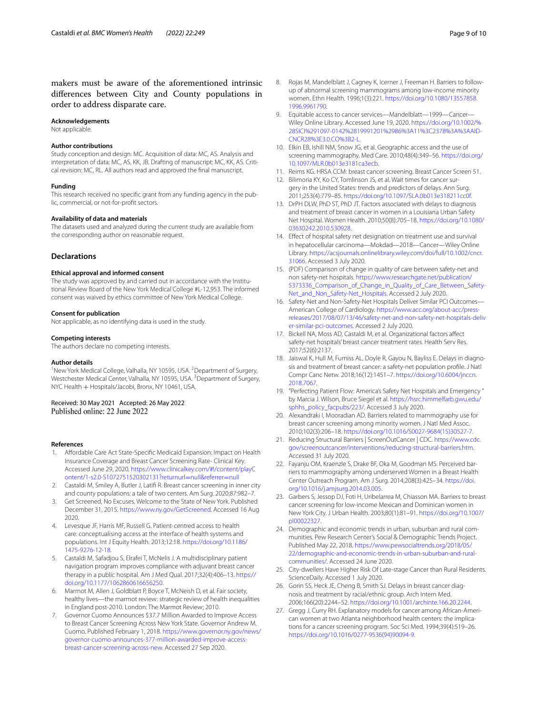makers must be aware of the aforementioned intrinsic diferences between City and County populations in order to address disparate care.

#### **Acknowledgements**

Not applicable.

#### **Author contributions**

Study conception and design: MC. Acquisition of data: MC, AS. Analysis and interpretation of data: MC, AS, KK, JB. Drafting of manuscript: MC, KK, AS. Critical revision: MC, RL. All authors read and approved the fnal manuscript.

#### **Funding**

This research received no specifc grant from any funding agency in the public, commercial, or not-for-proft sectors.

#### **Availability of data and materials**

The datasets used and analyzed during the current study are available from the corresponding author on reasonable request.

# **Declarations**

#### **Ethical approval and informed consent**

The study was approved by and carried out in accordance with the Institutional Review Board of the New York Medical College #L-12,953. The informed consent was waived by ethics committee of New York Medical College.

## **Consent for publication**

Not applicable, as no identifying data is used in the study.

### **Competing interests**

The authors declare no competing interests.

#### **Author details**

<sup>1</sup> New York Medical College, Valhalla, NY 10595, USA. <sup>2</sup> Department of Surgery, Westchester Medical Center, Valhalla, NY 10595, USA. <sup>3</sup>Department of Surgery, NYC Health + Hospitals/Jacobi, Bronx, NY 10461, USA.

#### Received: 30 May 2021 Accepted: 26 May 2022 Published online: 22 June 2022

#### **References**

- <span id="page-8-0"></span>1. Afordable Care Act State-Specifc Medicaid Expansion: Impact on Health Insurance Coverage and Breast Cancer Screening Rate- Clinical Key. Accessed June 29, 2020. [https://www.clinicalkey.com/#!/content/playC](https://www.clinicalkey.com/#!/content/playContent/1-s2.0-S1072751520302131?returnurl=null&referrer=null) [ontent/1-s2.0-S1072751520302131?returnurl](https://www.clinicalkey.com/#!/content/playContent/1-s2.0-S1072751520302131?returnurl=null&referrer=null)=null&referrer=null
- <span id="page-8-1"></span>2. Castaldi M, Smiley A, Butler J, Latif R. Breast cancer screening in inner city and county populations: a tale of two centers. Am Surg. 2020;87:982–7.
- <span id="page-8-2"></span>3. Get Screened, No Excuses. Welcome to the State of New York. Published December 31, 2015. <https://www.ny.gov/GetScreened>. Accessed 16 Aug 2020.
- <span id="page-8-3"></span>4. Levesque JF, Harris MF, Russell G. Patient-centred access to health care: conceptualising access at the interface of health systems and populations. Int J Equity Health. 2013;12:18. [https://doi.org/10.1186/](https://doi.org/10.1186/1475-9276-12-18) [1475-9276-12-18](https://doi.org/10.1186/1475-9276-12-18).
- <span id="page-8-4"></span>5. Castaldi M, Safadjou S, Elrafei T, McNelis J. A multidisciplinary patient navigation program improves compliance with adjuvant breast cancer therapy in a public hospital. Am J Med Qual. 2017;32(4):406–13. [https://](https://doi.org/10.1177/1062860616656250) [doi.org/10.1177/1062860616656250.](https://doi.org/10.1177/1062860616656250)
- <span id="page-8-5"></span>6. Marmot M, Allen J, Goldblatt P, Boyce T, McNeish D, et al. Fair society, healthy lives—the marmot review: strategic review of health inequalities in England post-2010. London: The Marmot Review; 2010.
- <span id="page-8-6"></span>7. Governor Cuomo Announces \$37.7 Million Awarded to Improve Access to Breast Cancer Screening Across New York State. Governor Andrew M. Cuomo. Published February 1, 2018. [https://www.governor.ny.gov/news/](https://www.governor.ny.gov/news/governor-cuomo-announces-377-million-awarded-improve-access-breast-cancer-screening-across-new) [governor-cuomo-announces-377-million-awarded-improve-access](https://www.governor.ny.gov/news/governor-cuomo-announces-377-million-awarded-improve-access-breast-cancer-screening-across-new)[breast-cancer-screening-across-new.](https://www.governor.ny.gov/news/governor-cuomo-announces-377-million-awarded-improve-access-breast-cancer-screening-across-new) Accessed 27 Sep 2020.
- <span id="page-8-7"></span>8. Rojas M, Mandelblatt J, Cagney K, Icerner J, Freeman H. Barriers to followup of abnormal screening mammograms among low-income minority women. Ethn Health. 1996;1(3):221. [https://doi.org/10.1080/13557858.](https://doi.org/10.1080/13557858.1996.9961790) [1996.9961790](https://doi.org/10.1080/13557858.1996.9961790).
- <span id="page-8-9"></span>9. Equitable access to cancer services—Mandelblatt—1999—Cancer— Wiley Online Library. Accessed June 19, 2020. [https://doi.org/10.1002/%](https://doi.org/10.1002/%28SICI%291097-0142%2819991201%2986%3A11%3C2378%3A%3AAID-CNCR28%3E3.0.CO%3B2-L) [28SICI%291097-0142%2819991201%2986%3A11%3C2378%3A%3AAID-](https://doi.org/10.1002/%28SICI%291097-0142%2819991201%2986%3A11%3C2378%3A%3AAID-CNCR28%3E3.0.CO%3B2-L)[CNCR28%3E3.0.CO%3B2-L](https://doi.org/10.1002/%28SICI%291097-0142%2819991201%2986%3A11%3C2378%3A%3AAID-CNCR28%3E3.0.CO%3B2-L).
- <span id="page-8-8"></span>10. Elkin EB, Ishill NM, Snow JG, et al. Geographic access and the use of screening mammography. Med Care. 2010;48(4):349–56. [https://doi.org/](https://doi.org/10.1097/MLR.0b013e3181ca3ecb) [10.1097/MLR.0b013e3181ca3ecb](https://doi.org/10.1097/MLR.0b013e3181ca3ecb).
- <span id="page-8-11"></span><span id="page-8-10"></span>11. Reims KG. HRSA CCM: breast cancer screening. Breast Cancer Screen 51. 12. Bilimoria KY, Ko CY, Tomlinson JS, et al. Wait times for cancer sur-
- gery in the United States: trends and predictors of delays. Ann Surg. 2011;253(4):779–85. <https://doi.org/10.1097/SLA.0b013e318211cc0f>.
- <span id="page-8-12"></span>13. DrPH DLW, PhD ST, PhD JT. Factors associated with delays to diagnosis and treatment of breast cancer in women in a Louisiana Urban Safety Net Hospital. Women Health. 2010;50(8):705–18. [https://doi.org/10.1080/](https://doi.org/10.1080/03630242.2010.530928) [03630242.2010.530928](https://doi.org/10.1080/03630242.2010.530928).
- <span id="page-8-13"></span>14. Efect of hospital safety net designation on treatment use and survival in hepatocellular carcinoma—Mokdad—2018—Cancer—Wiley Online Library. [https://acsjournals.onlinelibrary.wiley.com/doi/full/10.1002/cncr.](https://acsjournals.onlinelibrary.wiley.com/doi/full/10.1002/cncr.31066) [31066](https://acsjournals.onlinelibrary.wiley.com/doi/full/10.1002/cncr.31066). Accessed 3 July 2020.
- <span id="page-8-14"></span>15. (PDF) Comparison of change in quality of care between safety-net and non safety-net hospitals. [https://www.researchgate.net/publication/](https://www.researchgate.net/publication/5373336_Comparison_of_Change_in_Quality_of_Care_Between_Safety-Net_and_Non_Safety-Net_Hospitals) [5373336\\_Comparison\\_of\\_Change\\_in\\_Quality\\_of\\_Care\\_Between\\_Safety-](https://www.researchgate.net/publication/5373336_Comparison_of_Change_in_Quality_of_Care_Between_Safety-Net_and_Non_Safety-Net_Hospitals)[Net\\_and\\_Non\\_Safety-Net\\_Hospitals](https://www.researchgate.net/publication/5373336_Comparison_of_Change_in_Quality_of_Care_Between_Safety-Net_and_Non_Safety-Net_Hospitals). Accessed 2 July 2020.
- 16. Safety-Net and Non-Safety-Net Hospitals Deliver Similar PCI Outcomes— American College of Cardiology. [https://www.acc.org/about-acc/press](https://www.acc.org/about-acc/press-releases/2017/08/07/13/46/safety-net-and-non-safety-net-hospitals-deliver-similar-pci-outcomes)[releases/2017/08/07/13/46/safety-net-and-non-safety-net-hospitals-deliv](https://www.acc.org/about-acc/press-releases/2017/08/07/13/46/safety-net-and-non-safety-net-hospitals-deliver-similar-pci-outcomes) [er-similar-pci-outcomes.](https://www.acc.org/about-acc/press-releases/2017/08/07/13/46/safety-net-and-non-safety-net-hospitals-deliver-similar-pci-outcomes) Accessed 2 July 2020.
- <span id="page-8-15"></span>17. Bickell NA, Moss AD, Castaldi M, et al. Organizational factors afect safety-net hospitals' breast cancer treatment rates. Health Serv Res. 2017;52(6):2137.
- <span id="page-8-16"></span>18. Jaiswal K, Hull M, Furniss AL, Doyle R, Gayou N, Bayliss E. Delays in diagnosis and treatment of breast cancer: a safety-net population profle. J Natl Compr Canc Netw. 2018;16(12):1451–7. [https://doi.org/10.6004/jnccn.](https://doi.org/10.6004/jnccn.2018.7067) [2018.7067](https://doi.org/10.6004/jnccn.2018.7067).
- <span id="page-8-17"></span>19. "Perfecting Patient Flow: America's Safety Net Hospitals and Emergency " by Marcia J. Wilson, Bruce Siegel et al. [https://hsrc.himmelfarb.gwu.edu/](https://hsrc.himmelfarb.gwu.edu/sphhs_policy_facpubs/223/) [sphhs\\_policy\\_facpubs/223/](https://hsrc.himmelfarb.gwu.edu/sphhs_policy_facpubs/223/). Accessed 3 July 2020.
- <span id="page-8-18"></span>20. Alexandraki I, Mooradian AD. Barriers related to mammography use for breast cancer screening among minority women. J Natl Med Assoc. 2010;102(3):206–18. [https://doi.org/10.1016/S0027-9684\(15\)30527-7.](https://doi.org/10.1016/S0027-9684(15)30527-7)
- <span id="page-8-19"></span>21. Reducing Structural Barriers | ScreenOutCancer | CDC. [https://www.cdc.](https://www.cdc.gov/screenoutcancer/interventions/reducing-structural-barriers.htm) [gov/screenoutcancer/interventions/reducing-structural-barriers.htm.](https://www.cdc.gov/screenoutcancer/interventions/reducing-structural-barriers.htm) Accessed 31 July 2020.
- <span id="page-8-20"></span>22. Fayanju OM, Kraenzle S, Drake BF, Oka M, Goodman MS. Perceived barriers to mammography among underserved Women in a Breast Health Center Outreach Program. Am J Surg. 2014;208(3):425–34. [https://doi.](https://doi.org/10.1016/j.amjsurg.2014.03.005) [org/10.1016/j.amjsurg.2014.03.005](https://doi.org/10.1016/j.amjsurg.2014.03.005).
- <span id="page-8-21"></span>23. Garbers S, Jessop DJ, Foti H, Uribelarrea M, Chiasson MA. Barriers to breast cancer screening for low-income Mexican and Dominican women in New York City. J Urban Health. 2003;80(1):81–91. [https://doi.org/10.1007/](https://doi.org/10.1007/pl00022327) [pl00022327.](https://doi.org/10.1007/pl00022327)
- <span id="page-8-22"></span>24. Demographic and economic trends in urban, suburban and rural communities. Pew Research Center's Social & Demographic Trends Project. Published May 22, 2018. [https://www.pewsocialtrends.org/2018/05/](https://www.pewsocialtrends.org/2018/05/22/demographic-and-economic-trends-in-urban-suburban-and-rural-communities/) [22/demographic-and-economic-trends-in-urban-suburban-and-rural](https://www.pewsocialtrends.org/2018/05/22/demographic-and-economic-trends-in-urban-suburban-and-rural-communities/)[communities/.](https://www.pewsocialtrends.org/2018/05/22/demographic-and-economic-trends-in-urban-suburban-and-rural-communities/) Accessed 24 June 2020.
- <span id="page-8-23"></span>25. City-dwellers Have Higher Risk Of Late-stage Cancer than Rural Residents. ScienceDaily. Accessed 1 July 2020.
- <span id="page-8-24"></span>26. Gorin SS, Heck JE, Cheng B, Smith SJ. Delays in breast cancer diagnosis and treatment by racial/ethnic group. Arch Intern Med. 2006;166(20):2244–52. [https://doi.org/10.1001/archinte.166.20.2244.](https://doi.org/10.1001/archinte.166.20.2244)
- <span id="page-8-25"></span>27. Gregg J, Curry RH. Explanatory models for cancer among African-American women at two Atlanta neighborhood health centers: the implications for a cancer screening program. Soc Sci Med. 1994;39(4):519–26. [https://doi.org/10.1016/0277-9536\(94\)90094-9.](https://doi.org/10.1016/0277-9536(94)90094-9)